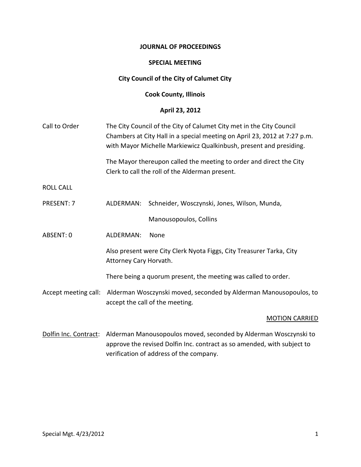#### **JOURNAL OF PROCEEDINGS**

#### **SPECIAL MEETING**

# **City Council of the City of Calumet City**

## **Cook County, Illinois**

# **April 23, 2012**

| Call to Order         | The City Council of the City of Calumet City met in the City Council<br>Chambers at City Hall in a special meeting on April 23, 2012 at 7:27 p.m.<br>with Mayor Michelle Markiewicz Qualkinbush, present and presiding.<br>The Mayor thereupon called the meeting to order and direct the City<br>Clerk to call the roll of the Alderman present. |                                              |
|-----------------------|---------------------------------------------------------------------------------------------------------------------------------------------------------------------------------------------------------------------------------------------------------------------------------------------------------------------------------------------------|----------------------------------------------|
|                       |                                                                                                                                                                                                                                                                                                                                                   |                                              |
| <b>ROLL CALL</b>      |                                                                                                                                                                                                                                                                                                                                                   |                                              |
| PRESENT: 7            | ALDERMAN:                                                                                                                                                                                                                                                                                                                                         | Schneider, Wosczynski, Jones, Wilson, Munda, |
|                       |                                                                                                                                                                                                                                                                                                                                                   | Manousopoulos, Collins                       |
| ABSENT: 0             | ALDERMAN:                                                                                                                                                                                                                                                                                                                                         | None                                         |
|                       | Also present were City Clerk Nyota Figgs, City Treasurer Tarka, City<br>Attorney Cary Horvath.                                                                                                                                                                                                                                                    |                                              |
|                       | There being a quorum present, the meeting was called to order.                                                                                                                                                                                                                                                                                    |                                              |
| Accept meeting call:  | Alderman Wosczynski moved, seconded by Alderman Manousopoulos, to<br>accept the call of the meeting.                                                                                                                                                                                                                                              |                                              |
|                       |                                                                                                                                                                                                                                                                                                                                                   | <b>MOTION CARRIED</b>                        |
| Dolfin Inc. Contract: | Alderman Manousopoulos moved, seconded by Alderman Wosczynski to<br>approve the revised Dolfin Inc. contract as so amended, with subject to                                                                                                                                                                                                       |                                              |

verification of address of the company.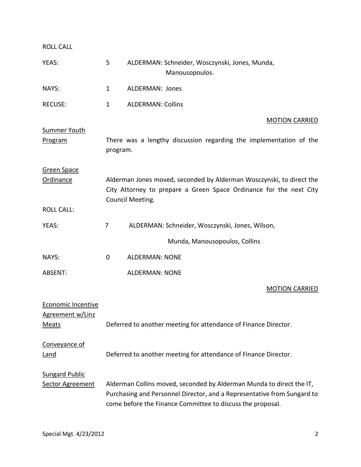ROLL CALL YEAS: 5 ALDERMAN: Schneider, Wosczynski, Jones, Munda, Manousopoulos. NAYS: 1 ALDERMAN: Jones RECUSE: 1 ALDERMAN: Collins MOTION CARRIED Summer Youth Program There was a lengthy discussion regarding the implementation of the program. Green Space Ordinance Alderman Jones moved, seconded by Alderman Wosczynski, to direct the City Attorney to prepare a Green Space Ordinance for the next City Council Meeting. ROLL CALL: YEAS: 7 ALDERMAN: Schneider, Wosczynski, Jones, Wilson, Munda, Manousopoulos, Collins NAYS: 0 ALDERMAN: NONE ABSENT: ALDERMAN: NONE MOTION CARRIED Economic Incentive Agreement w/Linz Meats Deferred to another meeting for attendance of Finance Director. Conveyance of Land Deferred to another meeting for attendance of Finance Director. Sungard Public Sector Agreement Alderman Collins moved, seconded by Alderman Munda to direct the IT,